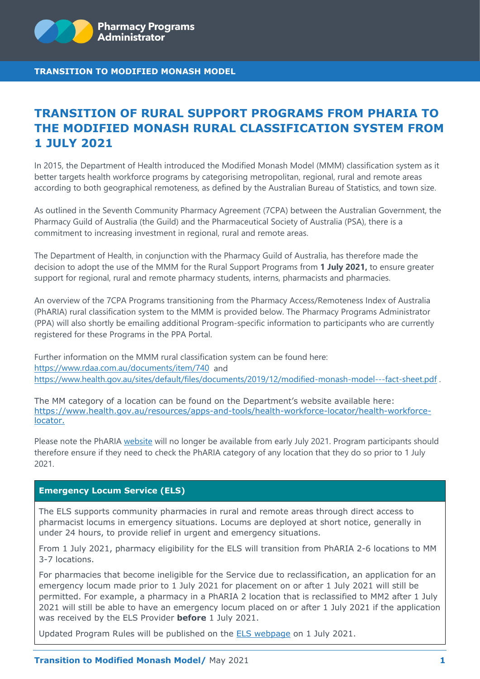

# **TRANSITION OF RURAL SUPPORT PROGRAMS FROM PHARIA TO THE MODIFIED MONASH RURAL CLASSIFICATION SYSTEM FROM 1 JULY 2021**

In 2015, the Department of Health introduced the Modified Monash Model (MMM) classification system as it better targets health workforce programs by categorising metropolitan, regional, rural and remote areas according to both geographical remoteness, as defined by the Australian Bureau of Statistics, and town size.

As outlined in the Seventh Community Pharmacy Agreement (7CPA) between the Australian Government, the Pharmacy Guild of Australia (the Guild) and the Pharmaceutical Society of Australia (PSA), there is a commitment to increasing investment in regional, rural and remote areas.

The Department of Health, in conjunction with the Pharmacy Guild of Australia, has therefore made the decision to adopt the use of the MMM for the Rural Support Programs from **1 July 2021,** to ensure greater support for regional, rural and remote pharmacy students, interns, pharmacists and pharmacies.

An overview of the 7CPA Programs transitioning from the Pharmacy Access/Remoteness Index of Australia (PhARIA) rural classification system to the MMM is provided below. The Pharmacy Programs Administrator (PPA) will also shortly be emailing additional Program-specific information to participants who are currently registered for these Programs in the PPA Portal.

Further information on the MMM rural classification system can be found here: <https://www.rdaa.com.au/documents/item/740>and <https://www.health.gov.au/sites/default/files/documents/2019/12/modified-monash-model---fact-sheet.pdf> .

The MM category of a location can be found on the Department's website available here: [https://www.health.gov.au/resources/apps-and-tools/health-workforce-locator/health-workforce](https://www.health.gov.au/resources/apps-and-tools/health-workforce-locator/health-workforce-locator)[locator.](https://www.health.gov.au/resources/apps-and-tools/health-workforce-locator/health-workforce-locator)

Please note the PhARIA [website](https://arts.adelaide.edu.au/hugo-centre/services/pharia) will no longer be available from early July 2021. Program participants should therefore ensure if they need to check the PhARIA category of any location that they do so prior to 1 July 2021.

# **Emergency Locum Service (ELS)**

The ELS supports community pharmacies in rural and remote areas through direct access to pharmacist locums in emergency situations. Locums are deployed at short notice, generally in under 24 hours, to provide relief in urgent and emergency situations.

From 1 July 2021, pharmacy eligibility for the ELS will transition from PhARIA 2-6 locations to MM 3-7 locations.

For pharmacies that become ineligible for the Service due to reclassification, an application for an emergency locum made prior to 1 July 2021 for placement on or after 1 July 2021 will still be permitted. For example, a pharmacy in a PhARIA 2 location that is reclassified to MM2 after 1 July 2021 will still be able to have an emergency locum placed on or after 1 July 2021 if the application was received by the ELS Provider **before** 1 July 2021.

Updated Program Rules will be published on the [ELS webpage](https://www.ppaonline.com.au/programs/rural-support-programs/emergency-locum-service) on 1 July 2021.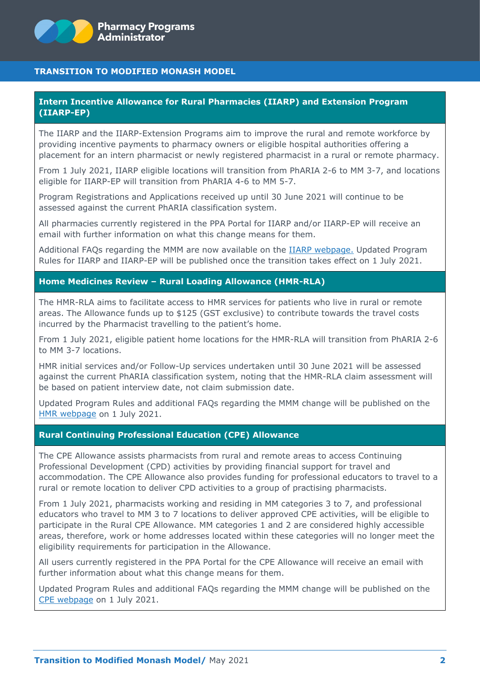

## **Intern Incentive Allowance for Rural Pharmacies (IIARP) and Extension Program (IIARP-EP)**

The IIARP and the IIARP-Extension Programs aim to improve the rural and remote workforce by providing incentive payments to pharmacy owners or eligible hospital authorities offering a placement for an intern pharmacist or newly registered pharmacist in a rural or remote pharmacy.

From 1 July 2021, IIARP eligible locations will transition from PhARIA 2-6 to MM 3-7, and locations eligible for IIARP-EP will transition from PhARIA 4-6 to MM 5-7.

Program Registrations and Applications received up until 30 June 2021 will continue to be assessed against the current PhARIA classification system.

All pharmacies currently registered in the PPA Portal for IIARP and/or IIARP-EP will receive an email with further information on what this change means for them.

Additional FAQs regarding the MMM are now available on the [IIARP webpage.](https://www.ppaonline.com.au/programs/rural-support-programs/intern-incentive-allowance-for-rural-pharmacies) Updated Program Rules for IIARP and IIARP-EP will be published once the transition takes effect on 1 July 2021.

#### **Home Medicines Review – Rural Loading Allowance (HMR-RLA)**

The HMR-RLA aims to facilitate access to HMR services for patients who live in rural or remote areas. The Allowance funds up to \$125 (GST exclusive) to contribute towards the travel costs incurred by the Pharmacist travelling to the patient's home.

From 1 July 2021, eligible patient home locations for the HMR-RLA will transition from PhARIA 2-6 to MM 3-7 locations.

HMR initial services and/or Follow-Up services undertaken until 30 June 2021 will be assessed against the current PhARIA classification system, noting that the HMR-RLA claim assessment will be based on patient interview date, not claim submission date.

Updated Program Rules and additional FAQs regarding the MMM change will be published on the [HMR webpage](https://www.ppaonline.com.au/programs/medication-management-programs/home-medicines-review) on 1 July 2021.

#### **Rural Continuing Professional Education (CPE) Allowance**

The CPE Allowance assists pharmacists from rural and remote areas to access Continuing Professional Development (CPD) activities by providing financial support for travel and accommodation. The CPE Allowance also provides funding for professional educators to travel to a rural or remote location to deliver CPD activities to a group of practising pharmacists.

From 1 July 2021, pharmacists working and residing in MM categories 3 to 7, and professional educators who travel to MM 3 to 7 locations to deliver approved CPE activities, will be eligible to participate in the Rural CPE Allowance. MM categories 1 and 2 are considered highly accessible areas, therefore, work or home addresses located within these categories will no longer meet the eligibility requirements for participation in the Allowance.

All users currently registered in the PPA Portal for the CPE Allowance will receive an email with further information about what this change means for them.

Updated Program Rules and additional FAQs regarding the MMM change will be published on the [CPE webpage](https://www.ppaonline.com.au/programs/rural-support-programs/continuing-professional-education-allowance) on 1 July 2021.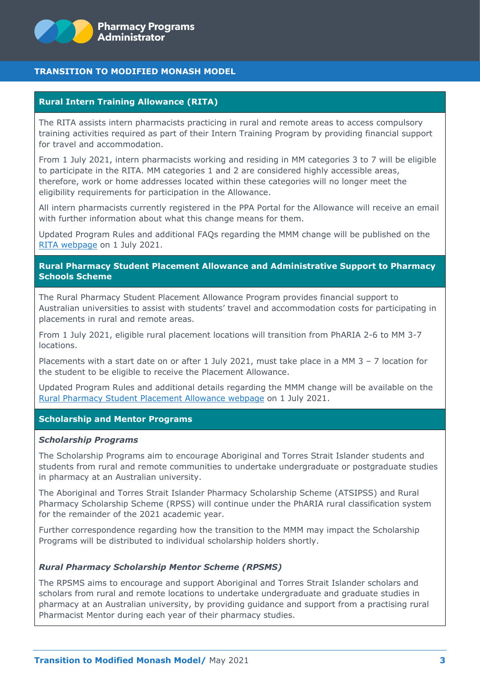

#### **Rural Intern Training Allowance (RITA)**

The RITA assists intern pharmacists practicing in rural and remote areas to access compulsory training activities required as part of their Intern Training Program by providing financial support for travel and accommodation.

From 1 July 2021, intern pharmacists working and residing in MM categories 3 to 7 will be eligible to participate in the RITA. MM categories 1 and 2 are considered highly accessible areas, therefore, work or home addresses located within these categories will no longer meet the eligibility requirements for participation in the Allowance.

All intern pharmacists currently registered in the PPA Portal for the Allowance will receive an email with further information about what this change means for them.

Updated Program Rules and additional FAQs regarding the MMM change will be published on the [RITA webpage](https://www.ppaonline.com.au/programs/rural-support-programs/rural-intern-training-allowance) on 1 July 2021.

## **Rural Pharmacy Student Placement Allowance and Administrative Support to Pharmacy Schools Scheme**

The Rural Pharmacy Student Placement Allowance Program provides financial support to Australian universities to assist with students' travel and accommodation costs for participating in placements in rural and remote areas.

From 1 July 2021, eligible rural placement locations will transition from PhARIA 2-6 to MM 3-7 locations.

Placements with a start date on or after 1 July 2021, must take place in a MM 3 – 7 location for the student to be eligible to receive the Placement Allowance.

Updated Program Rules and additional details regarding the MMM change will be available on the [Rural Pharmacy Student Placement Allowance webpage](https://www.ppaonline.com.au/programs/rural-support-programs/rural-pharmacy-student-placement-and-administrative-support) on 1 July 2021.

## **Scholarship and Mentor Programs**

#### *Scholarship Programs*

The Scholarship Programs aim to encourage Aboriginal and Torres Strait Islander students and students from rural and remote communities to undertake undergraduate or postgraduate studies in pharmacy at an Australian university.

The Aboriginal and Torres Strait Islander Pharmacy Scholarship Scheme (ATSIPSS) and Rural Pharmacy Scholarship Scheme (RPSS) will continue under the PhARIA rural classification system for the remainder of the 2021 academic year.

Further correspondence regarding how the transition to the MMM may impact the Scholarship Programs will be distributed to individual scholarship holders shortly.

#### *Rural Pharmacy Scholarship Mentor Scheme (RPSMS)*

The RPSMS aims to encourage and support Aboriginal and Torres Strait Islander scholars and scholars from rural and remote locations to undertake undergraduate and graduate studies in pharmacy at an Australian university, by providing guidance and support from a practising rural Pharmacist Mentor during each year of their pharmacy studies.